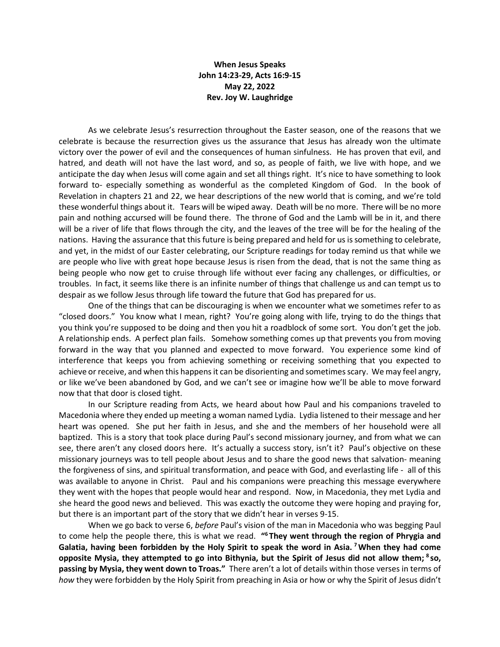## **When Jesus Speaks John 14:23-29, Acts 16:9-15 May 22, 2022 Rev. Joy W. Laughridge**

As we celebrate Jesus's resurrection throughout the Easter season, one of the reasons that we celebrate is because the resurrection gives us the assurance that Jesus has already won the ultimate victory over the power of evil and the consequences of human sinfulness. He has proven that evil, and hatred, and death will not have the last word, and so, as people of faith, we live with hope, and we anticipate the day when Jesus will come again and set all things right. It's nice to have something to look forward to- especially something as wonderful as the completed Kingdom of God. In the book of Revelation in chapters 21 and 22, we hear descriptions of the new world that is coming, and we're told these wonderful things about it. Tears will be wiped away. Death will be no more. There will be no more pain and nothing accursed will be found there. The throne of God and the Lamb will be in it, and there will be a river of life that flows through the city, and the leaves of the tree will be for the healing of the nations. Having the assurance that this future is being prepared and held for us is something to celebrate, and yet, in the midst of our Easter celebrating, our Scripture readings for today remind us that while we are people who live with great hope because Jesus is risen from the dead, that is not the same thing as being people who now get to cruise through life without ever facing any challenges, or difficulties, or troubles. In fact, it seems like there is an infinite number of things that challenge us and can tempt us to despair as we follow Jesus through life toward the future that God has prepared for us.

One of the things that can be discouraging is when we encounter what we sometimes refer to as "closed doors." You know what I mean, right? You're going along with life, trying to do the things that you think you're supposed to be doing and then you hit a roadblock of some sort. You don't get the job. A relationship ends. A perfect plan fails. Somehow something comes up that prevents you from moving forward in the way that you planned and expected to move forward. You experience some kind of interference that keeps you from achieving something or receiving something that you expected to achieve or receive, and when this happens it can be disorienting and sometimes scary. We may feel angry, or like we've been abandoned by God, and we can't see or imagine how we'll be able to move forward now that that door is closed tight.

In our Scripture reading from Acts, we heard about how Paul and his companions traveled to Macedonia where they ended up meeting a woman named Lydia. Lydia listened to their message and her heart was opened. She put her faith in Jesus, and she and the members of her household were all baptized. This is a story that took place during Paul's second missionary journey, and from what we can see, there aren't any closed doors here. It's actually a success story, isn't it? Paul's objective on these missionary journeys was to tell people about Jesus and to share the good news that salvation- meaning the forgiveness of sins, and spiritual transformation, and peace with God, and everlasting life - all of this was available to anyone in Christ. Paul and his companions were preaching this message everywhere they went with the hopes that people would hear and respond. Now, in Macedonia, they met Lydia and she heard the good news and believed. This was exactly the outcome they were hoping and praying for, but there is an important part of the story that we didn't hear in verses 9-15.

When we go back to verse 6, *before* Paul's vision of the man in Macedonia who was begging Paul to come help the people there, this is what we read. **"6 They went through the region of Phrygia and Galatia, having been forbidden by the Holy Spirit to speak the word in Asia. 7When they had come opposite Mysia, they attempted to go into Bithynia, but the Spirit of Jesus did not allow them; <sup>8</sup> so, passing by Mysia, they went down to Troas."** There aren't a lot of details within those verses in terms of *how* they were forbidden by the Holy Spirit from preaching in Asia or how or why the Spirit of Jesus didn't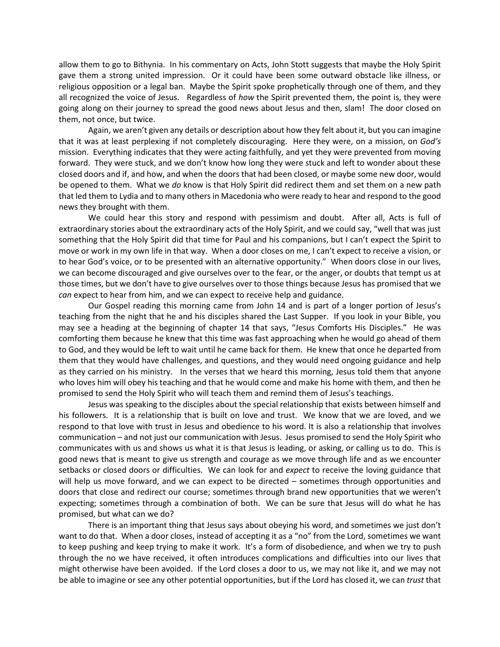allow them to go to Bithynia. In his commentary on Acts, John Stott suggests that maybe the Holy Spirit gave them a strong united impression. Or it could have been some outward obstacle like illness, or religious opposition or a legal ban. Maybe the Spirit spoke prophetically through one of them, and they all recognized the voice of Jesus. Regardless of *how* the Spirit prevented them, the point is, they were going along on their journey to spread the good news about Jesus and then, slam! The door closed on them, not once, but twice.

Again, we aren't given any details or description about how they felt about it, but you can imagine that it was at least perplexing if not completely discouraging. Here they were, on a mission, on *God's*  mission. Everything indicates that they were acting faithfully, and yet they were prevented from moving forward. They were stuck, and we don't know how long they were stuck and left to wonder about these closed doors and if, and how, and when the doors that had been closed, or maybe some new door, would be opened to them. What we *do* know is that Holy Spirit did redirect them and set them on a new path that led them to Lydia and to many others in Macedonia who were ready to hear and respond to the good news they brought with them.

We could hear this story and respond with pessimism and doubt. After all, Acts is full of extraordinary stories about the extraordinary acts of the Holy Spirit, and we could say, "well that was just something that the Holy Spirit did that time for Paul and his companions, but I can't expect the Spirit to move or work in my own life in that way. When a door closes on me, I can't expect to receive a vision, or to hear God's voice, or to be presented with an alternative opportunity." When doors close in our lives, we can become discouraged and give ourselves over to the fear, or the anger, or doubts that tempt us at those times, but we don't have to give ourselves over to those things because Jesus has promised that we *can* expect to hear from him, and we can expect to receive help and guidance.

Our Gospel reading this morning came from John 14 and is part of a longer portion of Jesus's teaching from the night that he and his disciples shared the Last Supper. If you look in your Bible, you may see a heading at the beginning of chapter 14 that says, "Jesus Comforts His Disciples." He was comforting them because he knew that this time was fast approaching when he would go ahead of them to God, and they would be left to wait until he came back for them. He knew that once he departed from them that they would have challenges, and questions, and they would need ongoing guidance and help as they carried on his ministry. In the verses that we heard this morning, Jesus told them that anyone who loves him will obey his teaching and that he would come and make his home with them, and then he promised to send the Holy Spirit who will teach them and remind them of Jesus's teachings.

Jesus was speaking to the disciples about the special relationship that exists between himself and his followers. It is a relationship that is built on love and trust. We know that we are loved, and we respond to that love with trust in Jesus and obedience to his word. It is also a relationship that involves communication – and not just our communication with Jesus. Jesus promised to send the Holy Spirit who communicates with us and shows us what it is that Jesus is leading, or asking, or calling us to do. This is good news that is meant to give us strength and courage as we move through life and as we encounter setbacks or closed doors or difficulties. We can look for and *expect* to receive the loving guidance that will help us move forward, and we can expect to be directed – sometimes through opportunities and doors that close and redirect our course; sometimes through brand new opportunities that we weren't expecting; sometimes through a combination of both. We can be sure that Jesus will do what he has promised, but what can we do?

There is an important thing that Jesus says about obeying his word, and sometimes we just don't want to do that. When a door closes, instead of accepting it as a "no" from the Lord, sometimes we want to keep pushing and keep trying to make it work. It's a form of disobedience, and when we try to push through the no we have received, it often introduces complications and difficulties into our lives that might otherwise have been avoided. If the Lord closes a door to us, we may not like it, and we may not be able to imagine or see any other potential opportunities, but if the Lord has closed it, we can *trust* that